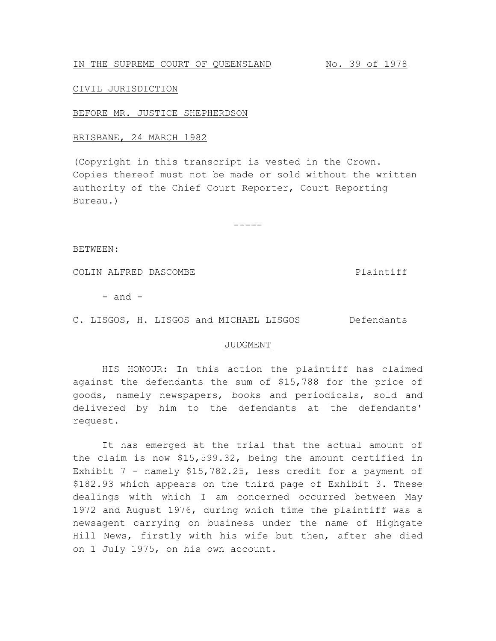IN THE SUPREME COURT OF QUEENSLAND No. 39 of 1978

## CIVIL JURISDICTION

## BEFORE MR. JUSTICE SHEPHERDSON

## BRISBANE, 24 MARCH 1982

(Copyright in this transcript is vested in the Crown. Copies thereof must not be made or sold without the written authority of the Chief Court Reporter, Court Reporting Bureau.)

-----

BETWEEN:

COLIN ALFRED DASCOMBE Plaintiff

 $-$  and  $-$ 

C. LISGOS, H. LISGOS and MICHAEL LISGOS Defendants

## JUDGMENT

HIS HONOUR: In this action the plaintiff has claimed against the defendants the sum of \$15,788 for the price of goods, namely newspapers, books and periodicals, sold and delivered by him to the defendants at the defendants' request.

It has emerged at the trial that the actual amount of the claim is now \$15,599.32, being the amount certified in Exhibit 7 - namely \$15,782.25, less credit for a payment of \$182.93 which appears on the third page of Exhibit 3. These dealings with which I am concerned occurred between May 1972 and August 1976, during which time the plaintiff was a newsagent carrying on business under the name of Highgate Hill News, firstly with his wife but then, after she died on 1 July 1975, on his own account.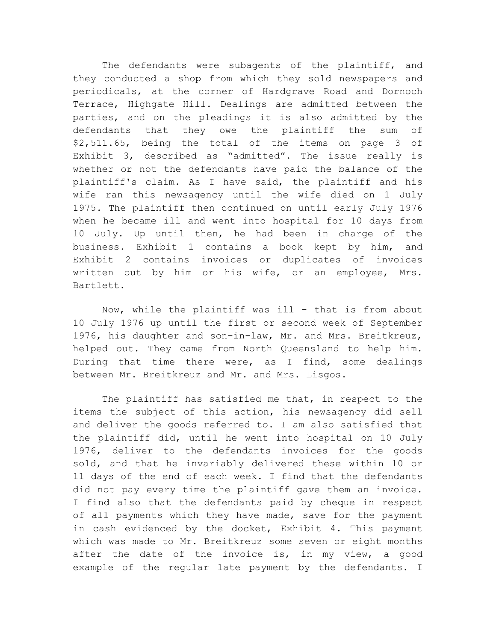The defendants were subagents of the plaintiff, and they conducted a shop from which they sold newspapers and periodicals, at the corner of Hardgrave Road and Dornoch Terrace, Highgate Hill. Dealings are admitted between the parties, and on the pleadings it is also admitted by the defendants that they owe the plaintiff the sum of \$2,511.65, being the total of the items on page 3 of Exhibit 3, described as "admitted". The issue really is whether or not the defendants have paid the balance of the plaintiff's claim. As I have said, the plaintiff and his wife ran this newsagency until the wife died on 1 July 1975. The plaintiff then continued on until early July 1976 when he became ill and went into hospital for 10 days from 10 July. Up until then, he had been in charge of the business. Exhibit 1 contains a book kept by him, and Exhibit 2 contains invoices or duplicates of invoices written out by him or his wife, or an employee, Mrs. Bartlett.

Now, while the plaintiff was ill - that is from about 10 July 1976 up until the first or second week of September 1976, his daughter and son-in-law, Mr. and Mrs. Breitkreuz, helped out. They came from North Queensland to help him. During that time there were, as I find, some dealings between Mr. Breitkreuz and Mr. and Mrs. Lisgos.

The plaintiff has satisfied me that, in respect to the items the subject of this action, his newsagency did sell and deliver the goods referred to. I am also satisfied that the plaintiff did, until he went into hospital on 10 July 1976, deliver to the defendants invoices for the goods sold, and that he invariably delivered these within 10 or 11 days of the end of each week. I find that the defendants did not pay every time the plaintiff gave them an invoice. I find also that the defendants paid by cheque in respect of all payments which they have made, save for the payment in cash evidenced by the docket, Exhibit 4. This payment which was made to Mr. Breitkreuz some seven or eight months after the date of the invoice is, in my view, a good example of the regular late payment by the defendants. I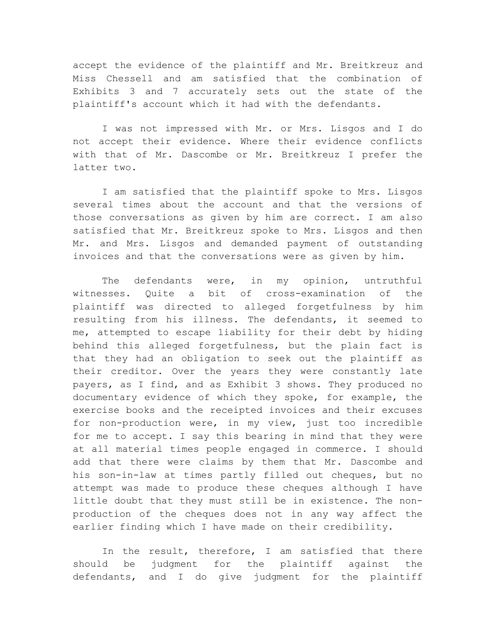accept the evidence of the plaintiff and Mr. Breitkreuz and Miss Chessell and am satisfied that the combination of Exhibits 3 and 7 accurately sets out the state of the plaintiff's account which it had with the defendants.

I was not impressed with Mr. or Mrs. Lisgos and I do not accept their evidence. Where their evidence conflicts with that of Mr. Dascombe or Mr. Breitkreuz I prefer the latter two.

I am satisfied that the plaintiff spoke to Mrs. Lisgos several times about the account and that the versions of those conversations as given by him are correct. I am also satisfied that Mr. Breitkreuz spoke to Mrs. Lisgos and then Mr. and Mrs. Lisgos and demanded payment of outstanding invoices and that the conversations were as given by him.

The defendants were, in my opinion, untruthful witnesses. Quite a bit of cross-examination of the plaintiff was directed to alleged forgetfulness by him resulting from his illness. The defendants, it seemed to me, attempted to escape liability for their debt by hiding behind this alleged forgetfulness, but the plain fact is that they had an obligation to seek out the plaintiff as their creditor. Over the years they were constantly late payers, as I find, and as Exhibit 3 shows. They produced no documentary evidence of which they spoke, for example, the exercise books and the receipted invoices and their excuses for non-production were, in my view, just too incredible for me to accept. I say this bearing in mind that they were at all material times people engaged in commerce. I should add that there were claims by them that Mr. Dascombe and his son-in-law at times partly filled out cheques, but no attempt was made to produce these cheques although I have little doubt that they must still be in existence. The nonproduction of the cheques does not in any way affect the earlier finding which I have made on their credibility.

In the result, therefore, I am satisfied that there should be judgment for the plaintiff against the defendants, and I do give judgment for the plaintiff